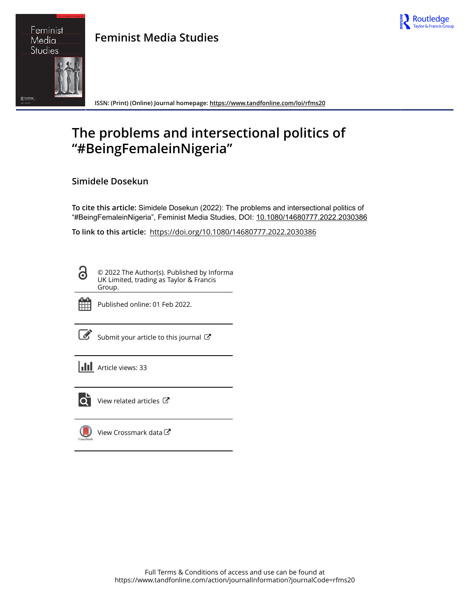

# Feminist Media Studies R<sub>sadoo</sub>

**Feminist Media Studies**

**ISSN: (Print) (Online) Journal homepage:<https://www.tandfonline.com/loi/rfms20>**

## **The problems and intersectional politics of "#BeingFemaleinNigeria"**

## **Simidele Dosekun**

**To cite this article:** Simidele Dosekun (2022): The problems and intersectional politics of "#BeingFemaleinNigeria", Feminist Media Studies, DOI: [10.1080/14680777.2022.2030386](https://www.tandfonline.com/action/showCitFormats?doi=10.1080/14680777.2022.2030386)

**To link to this article:** <https://doi.org/10.1080/14680777.2022.2030386>

G

© 2022 The Author(s). Published by Informa UK Limited, trading as Taylor & Francis Group.



Published online: 01 Feb 2022.

 $\overline{\mathscr{L}}$  [Submit your article to this journal](https://www.tandfonline.com/action/authorSubmission?journalCode=rfms20&show=instructions)  $\mathbb{Z}$ 

**III** Article views: 33



 $\overrightarrow{Q}$  [View related articles](https://www.tandfonline.com/doi/mlt/10.1080/14680777.2022.2030386)  $\overrightarrow{C}$ 



[View Crossmark data](http://crossmark.crossref.org/dialog/?doi=10.1080/14680777.2022.2030386&domain=pdf&date_stamp=2022-02-01)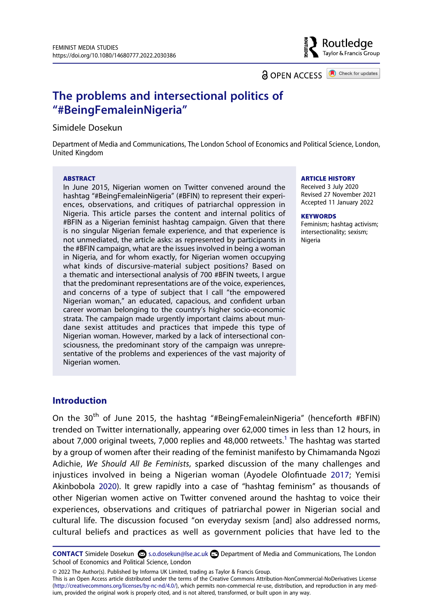Routledae Taylor & Francis Group

**a** OPEN ACCESS **a** Check for updates

## **The problems and intersectional politics of "#BeingFemaleinNigeria"**

#### Simidele Dosekun

Department of Media and Communications, The London School of Economics and Political Science, London, United Kingdom

#### **ABSTRACT**

In June 2015, Nigerian women on Twitter convened around the hashtag "#BeingFemaleinNigeria" (#BFIN) to represent their experiences, observations, and critiques of patriarchal oppression in Nigeria. This article parses the content and internal politics of #BFIN as a Nigerian feminist hashtag campaign. Given that there is no singular Nigerian female experience, and that experience is not unmediated, the article asks: as represented by participants in the #BFIN campaign, what are the issues involved in being a woman in Nigeria, and for whom exactly, for Nigerian women occupying what kinds of discursive-material subject positions? Based on a thematic and intersectional analysis of 700 #BFIN tweets, I argue that the predominant representations are of the voice, experiences, and concerns of a type of subject that I call "the empowered Nigerian woman," an educated, capacious, and confident urban career woman belonging to the country's higher socio-economic strata. The campaign made urgently important claims about mundane sexist attitudes and practices that impede this type of Nigerian woman. However, marked by a lack of intersectional consciousness, the predominant story of the campaign was unrepresentative of the problems and experiences of the vast majority of Nigerian women.

#### **ARTICLE HISTORY**

Received 3 July 2020 Revised 27 November 2021 Accepted 11 January 2022

#### **KEYWORDS**

Feminism; hashtag activism; intersectionality; sexism; Nigeria

#### **Introduction**

<span id="page-1-1"></span><span id="page-1-0"></span>On the 30<sup>th</sup> of June 2015, the hashtag "#BeingFemaleinNigeria" (henceforth #BFIN) trended on Twitter internationally, appearing over 62,000 times in less than 12 hours, in about 7,000 original tweets, 7,000 replies and 48,000 retweets.<sup>1</sup> The hashtag was started by a group of women after their reading of the feminist manifesto by Chimamanda Ngozi Adichie, *We Should All Be Feminists*, sparked discussion of the many challenges and injustices involved in being a Nigerian woman (Ayodele Olofintuade [2017](#page-17-0); Yemisi Akinbobola [2020](#page-15-1)). It grew rapidly into a case of "hashtag feminism" as thousands of other Nigerian women active on Twitter convened around the hashtag to voice their experiences, observations and critiques of patriarchal power in Nigerian social and cultural life. The discussion focused "on everyday sexism [and] also addressed norms, cultural beliefs and practices as well as government policies that have led to the

© 2022 The Author(s). Published by Informa UK Limited, trading as Taylor & Francis Group.

This is an Open Access article distributed under the terms of the Creative Commons Attribution-NonCommercial-NoDerivatives License (http://creativecommons.org/licenses/by-nc-nd/4.0/), which permits non-commercial re-use, distribution, and reproduction in any medium, provided the original work is properly cited, and is not altered, transformed, or built upon in any way.

CONTACT Simidele Dosekun **s.**o.dosekun@lse.ac.uk **Department of Media and Communications**, The London School of Economics and Political Science, London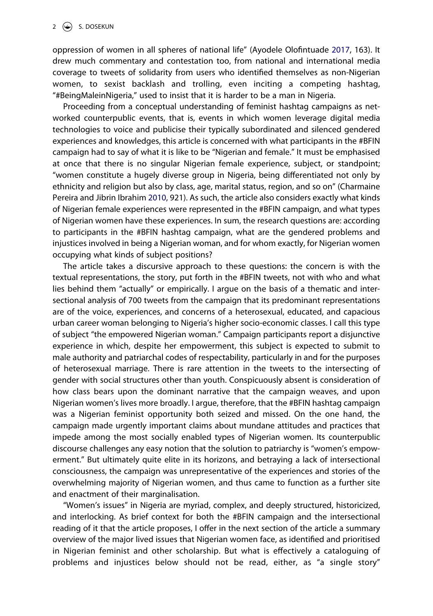oppression of women in all spheres of national life" (Ayodele Olofintuade [2017,](#page-17-0) 163). It drew much commentary and contestation too, from national and international media coverage to tweets of solidarity from users who identified themselves as non-Nigerian women, to sexist backlash and trolling, even inciting a competing hashtag, "#BeingMaleinNigeria," used to insist that it is harder to be a man in Nigeria.

Proceeding from a conceptual understanding of feminist hashtag campaigns as networked counterpublic events, that is, events in which women leverage digital media technologies to voice and publicise their typically subordinated and silenced gendered experiences and knowledges, this article is concerned with what participants in the #BFIN campaign had to say of what it is like to be "Nigerian and female." It must be emphasised at once that there is no singular Nigerian female experience, subject, or standpoint; "women constitute a hugely diverse group in Nigeria, being differentiated not only by ethnicity and religion but also by class, age, marital status, region, and so on" (Charmaine Pereira and Jibrin Ibrahim [2010](#page-17-1), 921). As such, the article also considers exactly what kinds of Nigerian female experiences were represented in the #BFIN campaign, and what types of Nigerian women have these experiences. In sum, the research questions are: according to participants in the #BFIN hashtag campaign, what are the gendered problems and injustices involved in being a Nigerian woman, and for whom exactly, for Nigerian women occupying what kinds of subject positions?

<span id="page-2-0"></span>The article takes a discursive approach to these questions: the concern is with the textual representations, the story, put forth in the #BFIN tweets, not with who and what lies behind them "actually" or empirically. I argue on the basis of a thematic and intersectional analysis of 700 tweets from the campaign that its predominant representations are of the voice, experiences, and concerns of a heterosexual, educated, and capacious urban career woman belonging to Nigeria's higher socio-economic classes. I call this type of subject "the empowered Nigerian woman." Campaign participants report a disjunctive experience in which, despite her empowerment, this subject is expected to submit to male authority and patriarchal codes of respectability, particularly in and for the purposes of heterosexual marriage. There is rare attention in the tweets to the intersecting of gender with social structures other than youth. Conspicuously absent is consideration of how class bears upon the dominant narrative that the campaign weaves, and upon Nigerian women's lives more broadly. I argue, therefore, that the #BFIN hashtag campaign was a Nigerian feminist opportunity both seized and missed. On the one hand, the campaign made urgently important claims about mundane attitudes and practices that impede among the most socially enabled types of Nigerian women. Its counterpublic discourse challenges any easy notion that the solution to patriarchy is "women's empowerment." But ultimately quite elite in its horizons, and betraying a lack of intersectional consciousness, the campaign was unrepresentative of the experiences and stories of the overwhelming majority of Nigerian women, and thus came to function as a further site and enactment of their marginalisation.

"Women's issues" in Nigeria are myriad, complex, and deeply structured, historicized, and interlocking. As brief context for both the #BFIN campaign and the intersectional reading of it that the article proposes, I offer in the next section of the article a summary overview of the major lived issues that Nigerian women face, as identified and prioritised in Nigerian feminist and other scholarship. But what is effectively a cataloguing of problems and injustices below should not be read, either, as "a single story"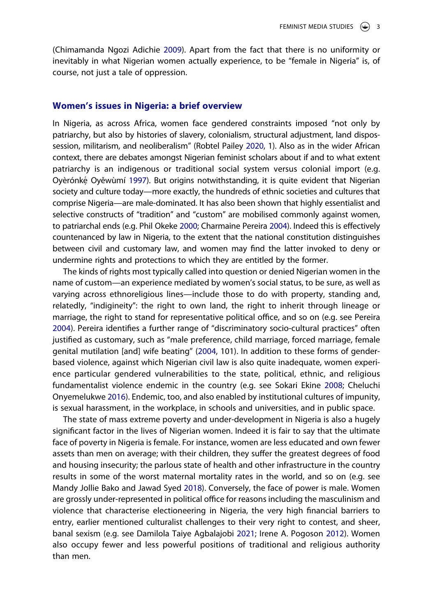<span id="page-3-0"></span>(Chimamanda Ngozi Adichie [2009](#page-15-2)). Apart from the fact that there is no uniformity or inevitably in what Nigerian women actually experience, to be "female in Nigeria" is, of course, not just a tale of oppression.

#### **Women's issues in Nigeria: a brief overview**

<span id="page-3-7"></span><span id="page-3-6"></span>In Nigeria, as across Africa, women face gendered constraints imposed "not only by patriarchy, but also by histories of slavery, colonialism, structural adjustment, land dispossession, militarism, and neoliberalism" (Robtel Pailey [2020](#page-17-2), 1). Also as in the wider African context, there are debates amongst Nigerian feminist scholars about if and to what extent patriarchy is an indigenous or traditional social system versus colonial import (e.g. Oyèrónkẹ́ Oyěwùmí [1997](#page-17-3)). But origins notwithstanding, it is quite evident that Nigerian society and culture today—more exactly, the hundreds of ethnic societies and cultures that comprise Nigeria—are male-dominated. It has also been shown that highly essentialist and selective constructs of "tradition" and "custom" are mobilised commonly against women, to patriarchal ends (e.g. Phil Okeke [2000;](#page-17-4) Charmaine Pereira [2004](#page-17-5)). Indeed this is effectively countenanced by law in Nigeria, to the extent that the national constitution distinguishes between civil and customary law, and women may find the latter invoked to deny or undermine rights and protections to which they are entitled by the former.

<span id="page-3-4"></span>The kinds of rights most typically called into question or denied Nigerian women in the name of custom—an experience mediated by women's social status, to be sure, as well as varying across ethnoreligious lines—include those to do with property, standing and, relatedly, "indigineity": the right to own land, the right to inherit through lineage or marriage, the right to stand for representative political office, and so on (e.g. see Pereira [2004\)](#page-17-5). Pereira identifies a further range of "discriminatory socio-cultural practices" often justified as customary, such as "male preference, child marriage, forced marriage, female genital mutilation [and] wife beating" ([2004](#page-17-5), 101). In addition to these forms of genderbased violence, against which Nigerian civil law is also quite inadequate, women experience particular gendered vulnerabilities to the state, political, ethnic, and religious fundamentalist violence endemic in the country (e.g. see Sokari Ekine [2008](#page-16-0); Cheluchi Onyemelukwe [2016](#page-17-6)). Endemic, too, and also enabled by institutional cultures of impunity, is sexual harassment, in the workplace, in schools and universities, and in public space.

<span id="page-3-8"></span><span id="page-3-5"></span><span id="page-3-3"></span><span id="page-3-2"></span><span id="page-3-1"></span>The state of mass extreme poverty and under-development in Nigeria is also a hugely significant factor in the lives of Nigerian women. Indeed it is fair to say that the ultimate face of poverty in Nigeria is female. For instance, women are less educated and own fewer assets than men on average; with their children, they suffer the greatest degrees of food and housing insecurity; the parlous state of health and other infrastructure in the country results in some of the worst maternal mortality rates in the world, and so on (e.g. see Mandy Jollie Bako and Jawad Syed [2018](#page-16-1)). Conversely, the face of power is male. Women are grossly under-represented in political office for reasons including the masculinism and violence that characterise electioneering in Nigeria, the very high financial barriers to entry, earlier mentioned culturalist challenges to their very right to contest, and sheer, banal sexism (e.g. see Damilola Taiye Agbalajobi [2021](#page-15-3); Irene A. Pogoson [2012](#page-17-7)). Women also occupy fewer and less powerful positions of traditional and religious authority than men.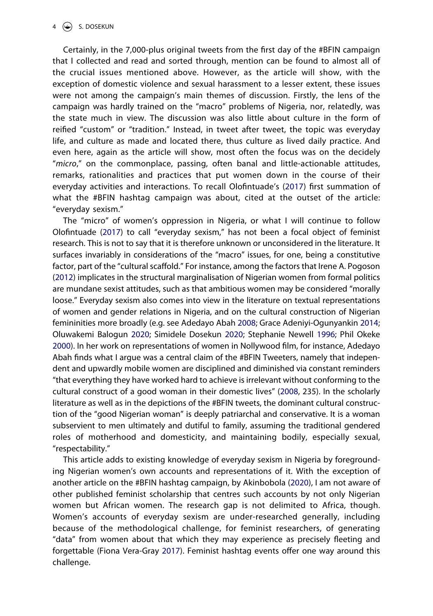Certainly, in the 7,000-plus original tweets from the first day of the #BFIN campaign that I collected and read and sorted through, mention can be found to almost all of the crucial issues mentioned above. However, as the article will show, with the exception of domestic violence and sexual harassment to a lesser extent, these issues were not among the campaign's main themes of discussion. Firstly, the lens of the campaign was hardly trained on the "macro" problems of Nigeria, nor, relatedly, was the state much in view. The discussion was also little about culture in the form of reified "custom" or "tradition." Instead, in tweet after tweet, the topic was everyday life, and culture as made and located there, thus culture as lived daily practice. And even here, again as the article will show, most often the focus was on the decidely "*micro*," on the commonplace, passing, often banal and little-actionable attitudes, remarks, rationalities and practices that put women down in the course of their everyday activities and interactions. To recall Olofintuade's ([2017\)](#page-17-0) first summation of what the #BFIN hashtag campaign was about, cited at the outset of the article: "everyday sexism."

<span id="page-4-2"></span><span id="page-4-1"></span>The "micro" of women's oppression in Nigeria, or what I will continue to follow Olofintuade ([2017](#page-17-0)) to call "everyday sexism," has not been a focal object of feminist research. This is not to say that it is therefore unknown or unconsidered in the literature. It surfaces invariably in considerations of the "macro" issues, for one, being a constitutive factor, part of the "cultural scaffold." For instance, among the factors that Irene A. Pogoson ([2012](#page-17-7)) implicates in the structural marginalisation of Nigerian women from formal politics are mundane sexist attitudes, such as that ambitious women may be considered "morally loose." Everyday sexism also comes into view in the literature on textual representations of women and gender relations in Nigeria, and on the cultural construction of Nigerian femininities more broadly (e.g. see Adedayo Abah [2008](#page-15-4); Grace Adeniyi-Ogunyankin [2014](#page-15-5); Oluwakemi Balogun [2020](#page-16-2); Simidele Dosekun [2020;](#page-16-3) Stephanie Newell [1996;](#page-17-8) Phil Okeke [2000\)](#page-17-4). In her work on representations of women in Nollywood film, for instance, Adedayo Abah finds what I argue was a central claim of the #BFIN Tweeters, namely that independent and upwardly mobile women are disciplined and diminished via constant reminders "that everything they have worked hard to achieve is irrelevant without conforming to the cultural construct of a good woman in their domestic lives" [\(2008,](#page-15-4) 235). In the scholarly literature as well as in the depictions of the #BFIN tweets, the dominant cultural construction of the "good Nigerian woman" is deeply patriarchal and conservative. It is a woman subservient to men ultimately and dutiful to family, assuming the traditional gendered roles of motherhood and domesticity, and maintaining bodily, especially sexual, "respectability."

<span id="page-4-3"></span><span id="page-4-0"></span>This article adds to existing knowledge of everyday sexism in Nigeria by foregrounding Nigerian women's own accounts and representations of it. With the exception of another article on the #BFIN hashtag campaign, by Akinbobola ([2020\)](#page-15-1), I am not aware of other published feminist scholarship that centres such accounts by not only Nigerian women but African women. The research gap is not delimited to Africa, though. Women's accounts of everyday sexism are under-researched generally, including because of the methodological challenge, for feminist researchers, of generating "data" from women about that which they may experience as precisely fleeting and forgettable (Fiona Vera-Gray [2017](#page-17-9)). Feminist hashtag events offer one way around this challenge.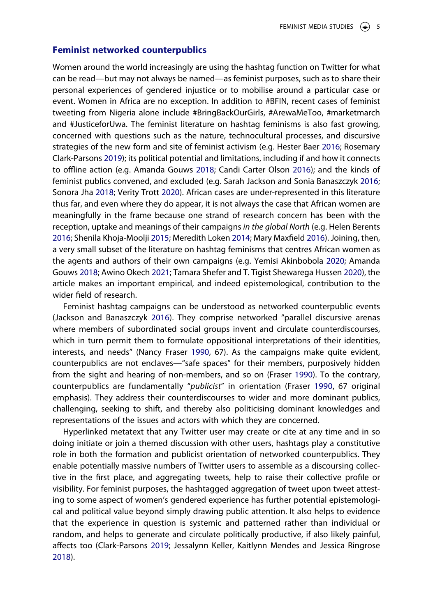#### **Feminist networked counterpublics**

<span id="page-5-2"></span><span id="page-5-0"></span>Women around the world increasingly are using the hashtag function on Twitter for what can be read—but may not always be named—as feminist purposes, such as to share their personal experiences of gendered injustice or to mobilise around a particular case or event. Women in Africa are no exception. In addition to #BFIN, recent cases of feminist tweeting from Nigeria alone include #BringBackOurGirls, #ArewaMeToo, #marketmarch and #JusticeforUwa. The feminist literature on hashtag feminisms is also fast growing, concerned with questions such as the nature, technocultural processes, and discursive strategies of the new form and site of feminist activism (e.g. Hester Baer [2016](#page-15-6); Rosemary Clark-Parsons [2019](#page-16-4)); its political potential and limitations, including if and how it connects to offline action (e.g. Amanda Gouws [2018](#page-16-5); Candi Carter Olson [2016](#page-16-6)); and the kinds of feminist publics convened, and excluded (e.g. Sarah Jackson and Sonia Banaszczyk [2016](#page-16-7); Sonora Jha [2018](#page-16-8); Verity Trott [2020\)](#page-17-10). African cases are under-represented in this literature thus far, and even where they do appear, it is not always the case that African women are meaningfully in the frame because one strand of research concern has been with the reception, uptake and meanings of their campaigns *in the global North* (e.g. Helen Berents [2016;](#page-16-9) Shenila Khoja-Moolji [2015;](#page-17-11) Meredith Loken [2014;](#page-17-12) Mary Maxfield [2016](#page-17-13)). Joining, then, a very small subset of the literature on hashtag feminisms that centres African women as the agents and authors of their own campaigns (e.g. Yemisi Akinbobola [2020](#page-15-1); Amanda Gouws [2018](#page-16-5); Awino Okech [2021](#page-17-14); Tamara Shefer and T. Tigist Shewarega Hussen [2020](#page-17-15)), the article makes an important empirical, and indeed epistemological, contribution to the wider field of research.

<span id="page-5-8"></span><span id="page-5-7"></span><span id="page-5-6"></span><span id="page-5-5"></span><span id="page-5-1"></span>Feminist hashtag campaigns can be understood as networked counterpublic events (Jackson and Banaszczyk [2016](#page-16-7)). They comprise networked "parallel discursive arenas where members of subordinated social groups invent and circulate counterdiscourses, which in turn permit them to formulate oppositional interpretations of their identities, interests, and needs" (Nancy Fraser [1990](#page-16-10), 67). As the campaigns make quite evident, counterpublics are not enclaves—"safe spaces" for their members, purposively hidden from the sight and hearing of non-members, and so on (Fraser [1990](#page-16-10)). To the contrary, counterpublics are fundamentally "*publicist*" in orientation (Fraser [1990](#page-16-10), 67 original emphasis). They address their counterdiscourses to wider and more dominant publics, challenging, seeking to shift, and thereby also politicising dominant knowledges and representations of the issues and actors with which they are concerned.

<span id="page-5-4"></span><span id="page-5-3"></span>Hyperlinked metatext that any Twitter user may create or cite at any time and in so doing initiate or join a themed discussion with other users, hashtags play a constitutive role in both the formation and publicist orientation of networked counterpublics. They enable potentially massive numbers of Twitter users to assemble as a discoursing collective in the first place, and aggregating tweets, help to raise their collective profile or visibility. For feminist purposes, the hashtagged aggregation of tweet upon tweet attesting to some aspect of women's gendered experience has further potential epistemological and political value beyond simply drawing public attention. It also helps to evidence that the experience in question is systemic and patterned rather than individual or random, and helps to generate and circulate politically productive, if also likely painful, affects too (Clark-Parsons [2019](#page-16-4); Jessalynn Keller, Kaitlynn Mendes and Jessica Ringrose [2018\)](#page-17-16).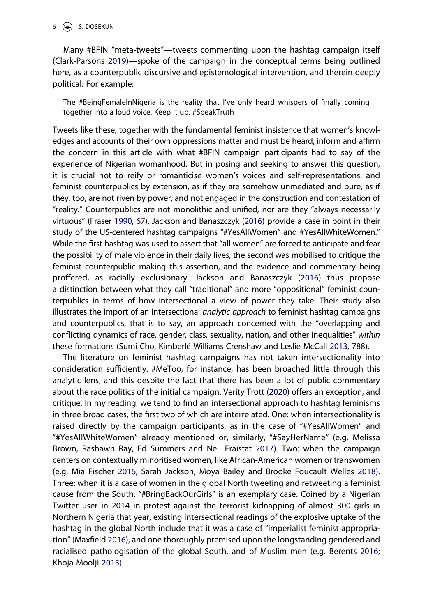Many #BFIN "meta-tweets"—tweets commenting upon the hashtag campaign itself (Clark-Parsons [2019\)](#page-16-4)—spoke of the campaign in the conceptual terms being outlined here, as a counterpublic discursive and epistemological intervention, and therein deeply political. For example:

The #BeingFemaleInNigeria is the reality that I've only heard whispers of finally coming together into a loud voice. Keep it up. #SpeakTruth

Tweets like these, together with the fundamental feminist insistence that women's knowledges and accounts of their own oppressions matter and must be heard, inform and affirm the concern in this article with what #BFIN campaign participants had to say of the experience of Nigerian womanhood. But in posing and seeking to answer this question, it is crucial not to reify or romanticise women's voices and self-representations, and feminist counterpublics by extension, as if they are somehow unmediated and pure, as if they, too, are not riven by power, and not engaged in the construction and contestation of "reality." Counterpublics are not monolithic and unified, nor are they "always necessarily virtuous" (Fraser [1990](#page-16-10), 67). Jackson and Banaszczyk ([2016\)](#page-16-7) provide a case in point in their study of the US-centered hashtag campaigns "#YesAllWomen" and #YesAllWhiteWomen." While the first hashtag was used to assert that "all women" are forced to anticipate and fear the possibility of male violence in their daily lives, the second was mobilised to critique the feminist counterpublic making this assertion, and the evidence and commentary being proffered, as racially exclusionary. Jackson and Banaszczyk [\(2016](#page-16-7)) thus propose a distinction between what they call "traditional" and more "oppositional" feminist counterpublics in terms of how intersectional a view of power they take. Their study also illustrates the import of an intersectional *analytic approach* to feminist hashtag campaigns and counterpublics, that is to say, an approach concerned with the "overlapping and conflicting dynamics of race, gender, class, sexuality, nation, and other inequalities" *within*  these formations (Sumi Cho, Kimberlé Williams Crenshaw and Leslie McCall [2013](#page-16-11), 788).

<span id="page-6-2"></span><span id="page-6-1"></span><span id="page-6-0"></span>The literature on feminist hashtag campaigns has not taken intersectionality into consideration sufficiently. #MeToo, for instance, has been broached little through this analytic lens, and this despite the fact that there has been a lot of public commentary about the race politics of the initial campaign. Verity Trott ([2020](#page-17-10)) offers an exception, and critique. In my reading, we tend to find an intersectional approach to hashtag feminisms in three broad cases, the first two of which are interrelated. One: when intersectionality is raised directly by the campaign participants, as in the case of "#YesAllWomen" and "#YesAllWhiteWomen" already mentioned or, similarly, "#SayHerName" (e.g. Melissa Brown, Rashawn Ray, Ed Summers and Neil Fraistat [2017\)](#page-16-12). Two: when the campaign centers on contextually minoritised women, like African-American women or transwomen (e.g. Mia Fischer [2016;](#page-16-13) Sarah Jackson, Moya Bailey and Brooke Foucault Welles [2018](#page-16-14)). Three: when it is a case of women in the global North tweeting and retweeting a feminist cause from the South. "#BringBackOurGirls" is an exemplary case. Coined by a Nigerian Twitter user in 2014 in protest against the terrorist kidnapping of almost 300 girls in Northern Nigeria that year, existing intersectional readings of the explosive uptake of the hashtag in the global North include that it was a case of "imperialist feminist appropriation" (Maxfield [2016](#page-17-13)), and one thoroughly premised upon the longstanding gendered and racialised pathologisation of the global South, and of Muslim men (e.g. Berents [2016](#page-16-9); Khoja-Moolji [2015](#page-17-11)).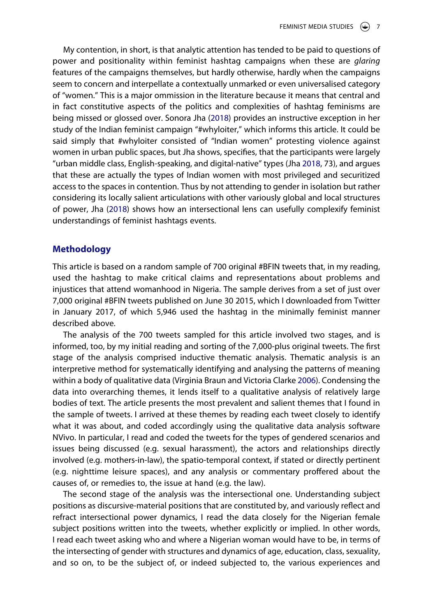My contention, in short, is that analytic attention has tended to be paid to questions of power and positionality within feminist hashtag campaigns when these are *glaring*  features of the campaigns themselves, but hardly otherwise, hardly when the campaigns seem to concern and interpellate a contextually unmarked or even universalised category of "women." This is a major ommission in the literature because it means that central and in fact constitutive aspects of the politics and complexities of hashtag feminisms are being missed or glossed over. Sonora Jha [\(2018\)](#page-16-8) provides an instructive exception in her study of the Indian feminist campaign "#whyloiter," which informs this article. It could be said simply that #whyloiter consisted of "Indian women" protesting violence against women in urban public spaces, but Jha shows, specifies, that the participants were largely "urban middle class, English-speaking, and digital-native" types (Jha [2018](#page-16-8), 73), and argues that these are actually the types of Indian women with most privileged and securitized access to the spaces in contention. Thus by not attending to gender in isolation but rather considering its locally salient articulations with other variously global and local structures of power, Jha [\(2018\)](#page-16-8) shows how an intersectional lens can usefully complexify feminist understandings of feminist hashtags events.

#### **Methodology**

This article is based on a random sample of 700 original #BFIN tweets that, in my reading, used the hashtag to make critical claims and representations about problems and injustices that attend womanhood in Nigeria. The sample derives from a set of just over 7,000 original #BFIN tweets published on June 30 2015, which I downloaded from Twitter in January 2017, of which 5,946 used the hashtag in the minimally feminist manner described above.

<span id="page-7-0"></span>The analysis of the 700 tweets sampled for this article involved two stages, and is informed, too, by my initial reading and sorting of the 7,000-plus original tweets. The first stage of the analysis comprised inductive thematic analysis. Thematic analysis is an interpretive method for systematically identifying and analysing the patterns of meaning within a body of qualitative data (Virginia Braun and Victoria Clarke [2006\)](#page-16-15). Condensing the data into overarching themes, it lends itself to a qualitative analysis of relatively large bodies of text. The article presents the most prevalent and salient themes that I found in the sample of tweets. I arrived at these themes by reading each tweet closely to identify what it was about, and coded accordingly using the qualitative data analysis software NVivo. In particular, I read and coded the tweets for the types of gendered scenarios and issues being discussed (e.g. sexual harassment), the actors and relationships directly involved (e.g. mothers-in-law), the spatio-temporal context, if stated or directly pertinent (e.g. nighttime leisure spaces), and any analysis or commentary proffered about the causes of, or remedies to, the issue at hand (e.g. the law).

The second stage of the analysis was the intersectional one. Understanding subject positions as discursive-material positions that are constituted by, and variously reflect and refract intersectional power dynamics, I read the data closely for the Nigerian female subject positions written into the tweets, whether explicitly or implied. In other words, I read each tweet asking who and where a Nigerian woman would have to be, in terms of the intersecting of gender with structures and dynamics of age, education, class, sexuality, and so on, to be the subject of, or indeed subjected to, the various experiences and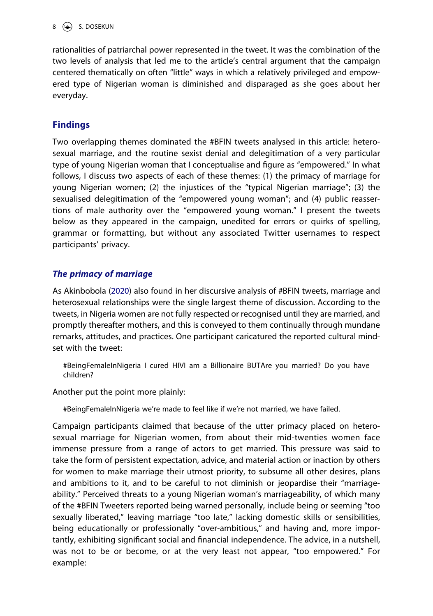#### $8 \quad \Leftrightarrow \quad S.$  DOSEKUN

rationalities of patriarchal power represented in the tweet. It was the combination of the two levels of analysis that led me to the article's central argument that the campaign centered thematically on often "little" ways in which a relatively privileged and empowered type of Nigerian woman is diminished and disparaged as she goes about her everyday.

## **Findings**

Two overlapping themes dominated the #BFIN tweets analysed in this article: heterosexual marriage, and the routine sexist denial and delegitimation of a very particular type of young Nigerian woman that I conceptualise and figure as "empowered." In what follows, I discuss two aspects of each of these themes: (1) the primacy of marriage for young Nigerian women; (2) the injustices of the "typical Nigerian marriage"; (3) the sexualised delegitimation of the "empowered young woman"; and (4) public reassertions of male authority over the "empowered young woman." I present the tweets below as they appeared in the campaign, unedited for errors or quirks of spelling, grammar or formatting, but without any associated Twitter usernames to respect participants' privacy.

### *The primacy of marriage*

As Akinbobola ([2020](#page-15-1)) also found in her discursive analysis of #BFIN tweets, marriage and heterosexual relationships were the single largest theme of discussion. According to the tweets, in Nigeria women are not fully respected or recognised until they are married, and promptly thereafter mothers, and this is conveyed to them continually through mundane remarks, attitudes, and practices. One participant caricatured the reported cultural mindset with the tweet:

#BeingFemaleInNigeria I cured HIVI am a Billionaire BUTAre you married? Do you have children?

Another put the point more plainly:

#BeingFemaleInNigeria we're made to feel like if we're not married, we have failed.

Campaign participants claimed that because of the utter primacy placed on heterosexual marriage for Nigerian women, from about their mid-twenties women face immense pressure from a range of actors to get married. This pressure was said to take the form of persistent expectation, advice, and material action or inaction by others for women to make marriage their utmost priority, to subsume all other desires, plans and ambitions to it, and to be careful to not diminish or jeopardise their "marriageability." Perceived threats to a young Nigerian woman's marriageability, of which many of the #BFIN Tweeters reported being warned personally, include being or seeming "too sexually liberated," leaving marriage "too late," lacking domestic skills or sensibilities, being educationally or professionally "over-ambitious," and having and, more importantly, exhibiting significant social and financial independence. The advice, in a nutshell, was not to be or become, or at the very least not appear, "too empowered." For example: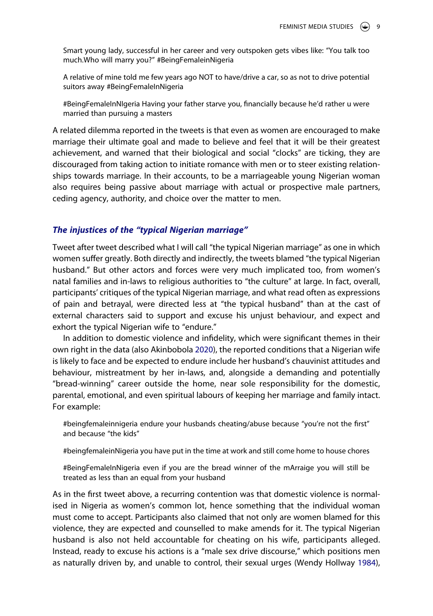Smart young lady, successful in her career and very outspoken gets vibes like: "You talk too much.Who will marry you?" #BeingFemaleinNigeria

A relative of mine told me few years ago NOT to have/drive a car, so as not to drive potential suitors away #BeingFemaleInNigeria

#BeingFemaleInNIgeria Having your father starve you, financially because he'd rather u were married than pursuing a masters

A related dilemma reported in the tweets is that even as women are encouraged to make marriage their ultimate goal and made to believe and feel that it will be their greatest achievement, and warned that their biological and social "clocks" are ticking, they are discouraged from taking action to initiate romance with men or to steer existing relationships towards marriage. In their accounts, to be a marriageable young Nigerian woman also requires being passive about marriage with actual or prospective male partners, ceding agency, authority, and choice over the matter to men.

### *The injustices of the "typical Nigerian marriage"*

Tweet after tweet described what I will call "the typical Nigerian marriage" as one in which women suffer greatly. Both directly and indirectly, the tweets blamed "the typical Nigerian husband." But other actors and forces were very much implicated too, from women's natal families and in-laws to religious authorities to "the culture" at large. In fact, overall, participants' critiques of the typical Nigerian marriage, and what read often as expressions of pain and betrayal, were directed less at "the typical husband" than at the cast of external characters said to support and excuse his unjust behaviour, and expect and exhort the typical Nigerian wife to "endure."

In addition to domestic violence and infidelity, which were significant themes in their own right in the data (also Akinbobola [2020\)](#page-15-1), the reported conditions that a Nigerian wife is likely to face and be expected to endure include her husband's chauvinist attitudes and behaviour, mistreatment by her in-laws, and, alongside a demanding and potentially "bread-winning" career outside the home, near sole responsibility for the domestic, parental, emotional, and even spiritual labours of keeping her marriage and family intact. For example:

#beingfemaleinnigeria endure your husbands cheating/abuse because "you're not the first" and because "the kids"

#beingfemaleinNigeria you have put in the time at work and still come home to house chores

#BeingFemaleInNigeria even if you are the bread winner of the mArraige you will still be treated as less than an equal from your husband

<span id="page-9-0"></span>As in the first tweet above, a recurring contention was that domestic violence is normalised in Nigeria as women's common lot, hence something that the individual woman must come to accept. Participants also claimed that not only are women blamed for this violence, they are expected and counselled to make amends for it. The typical Nigerian husband is also not held accountable for cheating on his wife, participants alleged. Instead, ready to excuse his actions is a "male sex drive discourse," which positions men as naturally driven by, and unable to control, their sexual urges (Wendy Hollway [1984](#page-16-16)),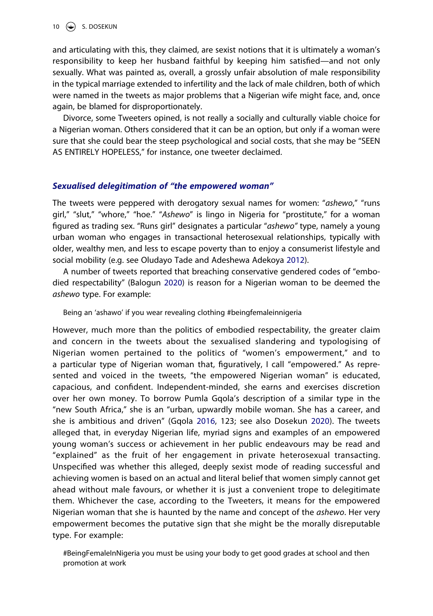and articulating with this, they claimed, are sexist notions that it is ultimately a woman's responsibility to keep her husband faithful by keeping him satisfied—and not only sexually. What was painted as, overall, a grossly unfair absolution of male responsibility in the typical marriage extended to infertility and the lack of male children, both of which were named in the tweets as major problems that a Nigerian wife might face, and, once again, be blamed for disproportionately.

Divorce, some Tweeters opined, is not really a socially and culturally viable choice for a Nigerian woman. Others considered that it can be an option, but only if a woman were sure that she could bear the steep psychological and social costs, that she may be "SEEN AS ENTIRELY HOPELESS," for instance, one tweeter declaimed.

#### *Sexualised delegitimation of "the empowered woman"*

The tweets were peppered with derogatory sexual names for women: "*ashewo*," "runs girl," "slut," "whore," "hoe." "*Ashewo*" is lingo in Nigeria for "prostitute," for a woman figured as trading sex. "Runs girl" designates a particular "*ashewo"* type, namely a young urban woman who engages in transactional heterosexual relationships, typically with older, wealthy men, and less to escape poverty than to enjoy a consumerist lifestyle and social mobility (e.g. see Oludayo Tade and Adeshewa Adekoya [2012](#page-17-17)).

<span id="page-10-1"></span>A number of tweets reported that breaching conservative gendered codes of "embodied respectability" (Balogun [2020\)](#page-16-2) is reason for a Nigerian woman to be deemed the *ashewo* type. For example:

Being an 'ashawo' if you wear revealing clothing #beingfemaleinnigeria

<span id="page-10-0"></span>However, much more than the politics of embodied respectability, the greater claim and concern in the tweets about the sexualised slandering and typologising of Nigerian women pertained to the politics of "women's empowerment," and to a particular type of Nigerian woman that, figuratively, I call "empowered." As represented and voiced in the tweets, "the empowered Nigerian woman" is educated, capacious, and confident. Independent-minded, she earns and exercises discretion over her own money. To borrow Pumla Gqola's description of a similar type in the "new South Africa," she is an "urban, upwardly mobile woman. She has a career, and she is ambitious and driven" (Gqola [2016](#page-16-17), 123; see also Dosekun [2020\)](#page-16-3). The tweets alleged that, in everyday Nigerian life, myriad signs and examples of an empowered young woman's success or achievement in her public endeavours may be read and "explained" as the fruit of her engagement in private heterosexual transacting. Unspecified was whether this alleged, deeply sexist mode of reading successful and achieving women is based on an actual and literal belief that women simply cannot get ahead without male favours, or whether it is just a convenient trope to delegitimate them. Whichever the case, according to the Tweeters, it means for the empowered Nigerian woman that she is haunted by the name and concept of the *ashewo*. Her very empowerment becomes the putative sign that she might be the morally disreputable type. For example:

#BeingFemaleInNigeria you must be using your body to get good grades at school and then promotion at work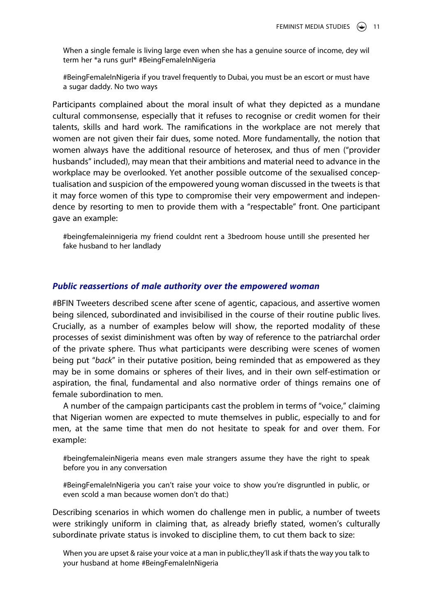When a single female is living large even when she has a genuine source of income, dey wil term her \*a runs gurl\* #BeingFemaleInNigeria

#BeingFemaleInNigeria if you travel frequently to Dubai, you must be an escort or must have a sugar daddy. No two ways

Participants complained about the moral insult of what they depicted as a mundane cultural commonsense, especially that it refuses to recognise or credit women for their talents, skills and hard work. The ramifications in the workplace are not merely that women are not given their fair dues, some noted. More fundamentally, the notion that women always have the additional resource of heterosex, and thus of men ("provider husbands" included), may mean that their ambitions and material need to advance in the workplace may be overlooked. Yet another possible outcome of the sexualised conceptualisation and suspicion of the empowered young woman discussed in the tweets is that it may force women of this type to compromise their very empowerment and independence by resorting to men to provide them with a "respectable" front. One participant gave an example:

#beingfemaleinnigeria my friend couldnt rent a 3bedroom house untill she presented her fake husband to her landlady

#### *Public reassertions of male authority over the empowered woman*

#BFIN Tweeters described scene after scene of agentic, capacious, and assertive women being silenced, subordinated and invisibilised in the course of their routine public lives. Crucially, as a number of examples below will show, the reported modality of these processes of sexist diminishment was often by way of reference to the patriarchal order of the private sphere. Thus what participants were describing were scenes of women being put "*back*" in their putative position, being reminded that as empowered as they may be in some domains or spheres of their lives, and in their own self-estimation or aspiration, the final, fundamental and also normative order of things remains one of female subordination to men.

A number of the campaign participants cast the problem in terms of "voice," claiming that Nigerian women are expected to mute themselves in public, especially to and for men, at the same time that men do not hesitate to speak for and over them. For example:

#beingfemaleinNigeria means even male strangers assume they have the right to speak before you in any conversation

#BeingFemaleInNigeria you can't raise your voice to show you're disgruntled in public, or even scold a man because women don't do that:)

Describing scenarios in which women do challenge men in public, a number of tweets were strikingly uniform in claiming that, as already briefly stated, women's culturally subordinate private status is invoked to discipline them, to cut them back to size:

When you are upset & raise your voice at a man in public,they'll ask if thats the way you talk to your husband at home #BeingFemaleInNigeria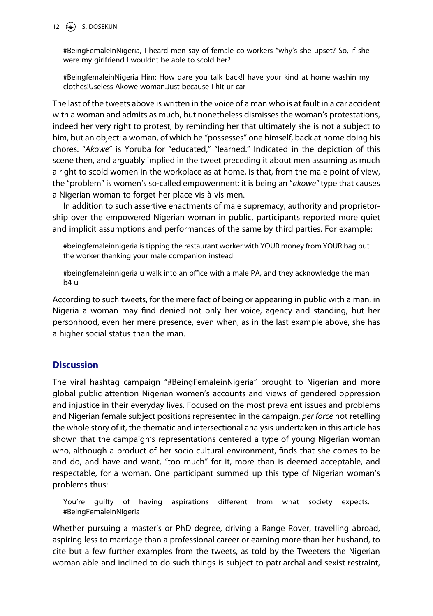#### 12  $\left(\bigcirc\right)$  S. DOSEKUN

#BeingFemaleInNigeria, I heard men say of female co-workers "why's she upset? So, if she were my girlfriend I wouldnt be able to scold her?

#BeingfemaleinNigeria Him: How dare you talk back!I have your kind at home washin my clothes!Useless Akowe woman.Just because I hit ur car

The last of the tweets above is written in the voice of a man who is at fault in a car accident with a woman and admits as much, but nonetheless dismisses the woman's protestations, indeed her very right to protest, by reminding her that ultimately she is not a subject to him, but an object: a woman, of which he "possesses" one himself, back at home doing his chores. "*Akowe*" is Yoruba for "educated," "learned." Indicated in the depiction of this scene then, and arguably implied in the tweet preceding it about men assuming as much a right to scold women in the workplace as at home, is that, from the male point of view, the "problem" is women's so-called empowerment: it is being an "*akowe"* type that causes a Nigerian woman to forget her place vis-à-vis men.

In addition to such assertive enactments of male supremacy, authority and proprietorship over the empowered Nigerian woman in public, participants reported more quiet and implicit assumptions and performances of the same by third parties. For example:

#beingfemaleinnigeria is tipping the restaurant worker with YOUR money from YOUR bag but the worker thanking your male companion instead

#beingfemaleinnigeria u walk into an office with a male PA, and they acknowledge the man b4 u

According to such tweets, for the mere fact of being or appearing in public with a man, in Nigeria a woman may find denied not only her voice, agency and standing, but her personhood, even her mere presence, even when, as in the last example above, she has a higher social status than the man.

#### **Discussion**

The viral hashtag campaign "#BeingFemaleinNigeria" brought to Nigerian and more global public attention Nigerian women's accounts and views of gendered oppression and injustice in their everyday lives. Focused on the most prevalent issues and problems and Nigerian female subject positions represented in the campaign, *per force* not retelling the whole story of it, the thematic and intersectional analysis undertaken in this article has shown that the campaign's representations centered a type of young Nigerian woman who, although a product of her socio-cultural environment, finds that she comes to be and do, and have and want, "too much" for it, more than is deemed acceptable, and respectable, for a woman. One participant summed up this type of Nigerian woman's problems thus:

You're guilty of having aspirations different from what society expects. #BeingFemaleInNigeria

Whether pursuing a master's or PhD degree, driving a Range Rover, travelling abroad, aspiring less to marriage than a professional career or earning more than her husband, to cite but a few further examples from the tweets, as told by the Tweeters the Nigerian woman able and inclined to do such things is subject to patriarchal and sexist restraint,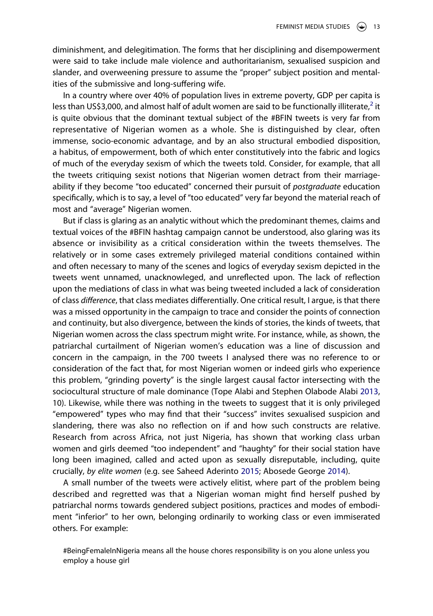diminishment, and delegitimation. The forms that her disciplining and disempowerment were said to take include male violence and authoritarianism, sexualised suspicion and slander, and overweening pressure to assume the "proper" subject position and mentalities of the submissive and long-suffering wife.

In a country where over 40% of population lives in extreme poverty, GDP per capita is less than US\$3,000, and almost half of adult women are said to be functionally illiterate,<sup>[2](#page-15-7)</sup> it is quite obvious that the dominant textual subject of the #BFIN tweets is very far from representative of Nigerian women as a whole. She is distinguished by clear, often immense, socio-economic advantage, and by an also structural embodied disposition, a habitus, of empowerment, both of which enter constitutively into the fabric and logics of much of the everyday sexism of which the tweets told. Consider, for example, that all the tweets critiquing sexist notions that Nigerian women detract from their marriageability if they become "too educated" concerned their pursuit of *postgraduate* education specifically, which is to say, a level of "too educated" very far beyond the material reach of most and "average" Nigerian women.

But if class is glaring as an analytic without which the predominant themes, claims and textual voices of the #BFIN hashtag campaign cannot be understood, also glaring was its absence or invisibility as a critical consideration within the tweets themselves. The relatively or in some cases extremely privileged material conditions contained within and often necessary to many of the scenes and logics of everyday sexism depicted in the tweets went unnamed, unacknowleged, and unreflected upon. The lack of reflection upon the mediations of class in what was being tweeted included a lack of consideration of class *difference*, that class mediates differentially. One critical result, I argue, is that there was a missed opportunity in the campaign to trace and consider the points of connection and continuity, but also divergence, between the kinds of stories, the kinds of tweets, that Nigerian women across the class spectrum might write. For instance, while, as shown, the patriarchal curtailment of Nigerian women's education was a line of discussion and concern in the campaign, in the 700 tweets I analysed there was no reference to or consideration of the fact that, for most Nigerian women or indeed girls who experience this problem, "grinding poverty" is the single largest causal factor intersecting with the sociocultural structure of male dominance (Tope Alabi and Stephen Olabode Alabi [2013](#page-15-8), 10). Likewise, while there was nothing in the tweets to suggest that it is only privileged "empowered" types who may find that their "success" invites sexualised suspicion and slandering, there was also no reflection on if and how such constructs are relative. Research from across Africa, not just Nigeria, has shown that working class urban women and girls deemed "too independent" and "haughty" for their social station have long been imagined, called and acted upon as sexually disreputable, including, quite crucially, *by elite women* (e.g. see Saheed Aderinto [2015](#page-15-9); Abosede George [2014\)](#page-16-18).

<span id="page-13-1"></span><span id="page-13-0"></span>A small number of the tweets were actively elitist, where part of the problem being described and regretted was that a Nigerian woman might find herself pushed by patriarchal norms towards gendered subject positions, practices and modes of embodiment "inferior" to her own, belonging ordinarily to working class or even immiserated others. For example:

#BeingFemaleInNigeria means all the house chores responsibility is on you alone unless you employ a house girl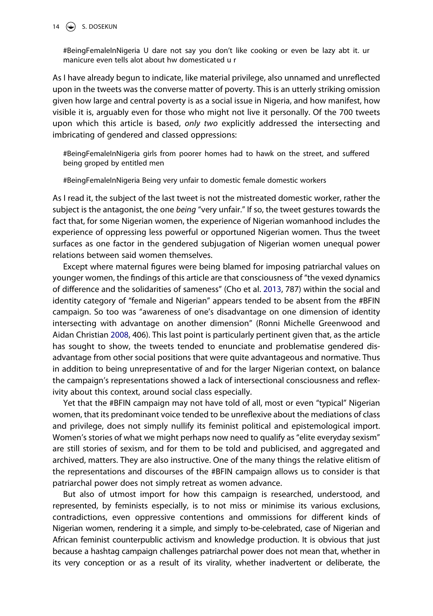14  $\left(\bigcirc\right)$  S. DOSEKUN

#BeingFemaleInNigeria U dare not say you don't like cooking or even be lazy abt it. ur manicure even tells alot about hw domesticated u r

As I have already begun to indicate, like material privilege, also unnamed and unreflected upon in the tweets was the converse matter of poverty. This is an utterly striking omission given how large and central poverty is as a social issue in Nigeria, and how manifest, how visible it is, arguably even for those who might not live it personally. Of the 700 tweets upon which this article is based, *only two* explicitly addressed the intersecting and imbricating of gendered and classed oppressions:

#BeingFemaleInNigeria girls from poorer homes had to hawk on the street, and suffered being groped by entitled men

#BeingFemaleInNigeria Being very unfair to domestic female domestic workers

As I read it, the subject of the last tweet is not the mistreated domestic worker, rather the subject is the antagonist, the one *being* "very unfair." If so, the tweet gestures towards the fact that, for some Nigerian women, the experience of Nigerian womanhood includes the experience of oppressing less powerful or opportuned Nigerian women. Thus the tweet surfaces as one factor in the gendered subjugation of Nigerian women unequal power relations between said women themselves.

<span id="page-14-0"></span>Except where maternal figures were being blamed for imposing patriarchal values on younger women, the findings of this article are that consciousness of "the vexed dynamics of difference and the solidarities of sameness" (Cho et al. [2013,](#page-16-11) 787) within the social and identity category of "female and Nigerian" appears tended to be absent from the #BFIN campaign. So too was "awareness of one's disadvantage on one dimension of identity intersecting with advantage on another dimension" (Ronni Michelle Greenwood and Aidan Christian [2008,](#page-16-19) 406). This last point is particularly pertinent given that, as the article has sought to show, the tweets tended to enunciate and problematise gendered disadvantage from other social positions that were quite advantageous and normative. Thus in addition to being unrepresentative of and for the larger Nigerian context, on balance the campaign's representations showed a lack of intersectional consciousness and reflexivity about this context, around social class especially.

Yet that the #BFIN campaign may not have told of all, most or even "typical" Nigerian women, that its predominant voice tended to be unreflexive about the mediations of class and privilege, does not simply nullify its feminist political and epistemological import. Women's stories of what we might perhaps now need to qualify as "elite everyday sexism" are still stories of sexism, and for them to be told and publicised, and aggregated and archived, matters. They are also instructive. One of the many things the relative elitism of the representations and discourses of the #BFIN campaign allows us to consider is that patriarchal power does not simply retreat as women advance.

But also of utmost import for how this campaign is researched, understood, and represented, by feminists especially, is to not miss or minimise its various exclusions, contradictions, even oppressive contentions and ommissions for different kinds of Nigerian women, rendering it a simple, and simply to-be-celebrated, case of Nigerian and African feminist counterpublic activism and knowledge production. It is obvious that just because a hashtag campaign challenges patriarchal power does not mean that, whether in its very conception or as a result of its virality, whether inadvertent or deliberate, the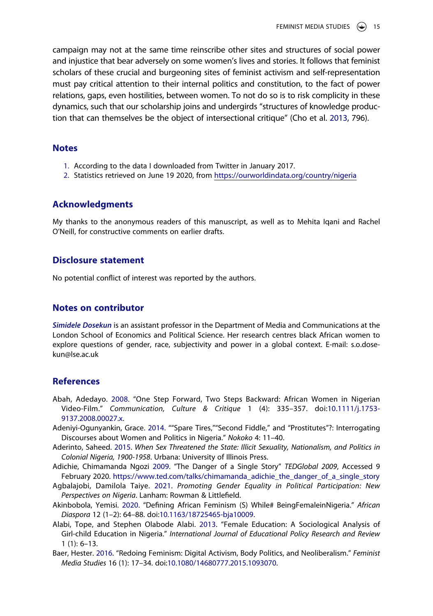campaign may not at the same time reinscribe other sites and structures of social power and injustice that bear adversely on some women's lives and stories. It follows that feminist scholars of these crucial and burgeoning sites of feminist activism and self-representation must pay critical attention to their internal politics and constitution, to the fact of power relations, gaps, even hostilities, between women. To not do so is to risk complicity in these dynamics, such that our scholarship joins and undergirds "structures of knowledge production that can themselves be the object of intersectional critique" (Cho et al. [2013,](#page-16-11) 796).

#### **Notes**

- <span id="page-15-0"></span>1. According to the data I downloaded from Twitter in January 2017.
- <span id="page-15-7"></span>2. Statistics retrieved on June 19 2020, from <https://ourworldindata.org/country/nigeria>

#### **Acknowledgments**

My thanks to the anonymous readers of this manuscript, as well as to Mehita Iqani and Rachel O'Neill, for constructive comments on earlier drafts.

#### **Disclosure statement**

No potential conflict of interest was reported by the authors.

#### **Notes on contributor**

*Simidele Dosekun* is an assistant professor in the Department of Media and Communications at the London School of Economics and Political Science. Her research centres black African women to explore questions of gender, race, subjectivity and power in a global context. E-mail: s.o.dosekun@lse.ac.uk

#### **References**

- <span id="page-15-4"></span>Abah, Adedayo. [2008.](#page-4-0) "One Step Forward, Two Steps Backward: African Women in Nigerian Video-Film." *Communication, Culture & Critique* 1 (4): 335–357. doi:[10.1111/j.1753-](https://doi.org/10.1111/j.1753-9137.2008.00027.x) [9137.2008.00027.x.](https://doi.org/10.1111/j.1753-9137.2008.00027.x)
- <span id="page-15-5"></span>Adeniyi-Ogunyankin, Grace. [2014](#page-4-1). ""Spare Tires,""Second Fiddle," and "Prostitutes"?: Interrogating Discourses about Women and Politics in Nigeria." *Nokoko* 4: 11–40.
- <span id="page-15-9"></span>Aderinto, Saheed. [2015.](#page-13-0) *When Sex Threatened the State: Illicit Sexuality, Nationalism, and Politics in Colonial Nigeria, 1900-1958*. Urbana: University of Illinois Press.
- <span id="page-15-2"></span>Adichie, Chimamanda Ngozi [2009.](#page-3-0) "The Danger of a Single Story" *TEDGlobal 2009*, Accessed 9 February 2020. https://www.ted.com/talks/chimamanda\_adichie\_the\_danger\_of\_a\_single\_story
- <span id="page-15-3"></span>Agbalajobi, Damilola Taiye. [2021](#page-3-1). *Promoting Gender Equality in Political Participation: New Perspectives on Nigeria*. Lanham: Rowman & Littlefield.
- <span id="page-15-1"></span>Akinbobola, Yemisi. [2020.](#page-1-0) "Defining African Feminism (S) While# BeingFemaleinNigeria." *African Diaspora* 12 (1–2): 64–88. doi:[10.1163/18725465-bja10009.](https://doi.org/10.1163/18725465-bja10009)
- <span id="page-15-8"></span>Alabi, Tope, and Stephen Olabode Alabi. [2013](#page-13-1). "Female Education: A Sociological Analysis of Girl-child Education in Nigeria." *International Journal of Educational Policy Research and Review*  1 (1): 6–13.
- <span id="page-15-6"></span>Baer, Hester. [2016](#page-5-0). "Redoing Feminism: Digital Activism, Body Politics, and Neoliberalism." *Feminist Media Studies* 16 (1): 17–34. doi:[10.1080/14680777.2015.1093070.](https://doi.org/10.1080/14680777.2015.1093070)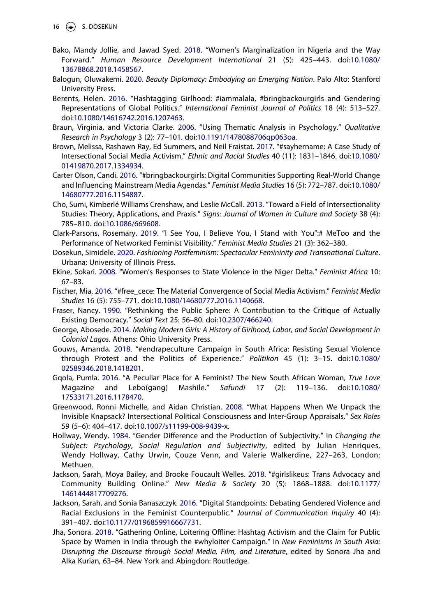16  $\left(\bigcirc\right)$  S. DOSEKUN

- <span id="page-16-1"></span>Bako, Mandy Jollie, and Jawad Syed. [2018.](#page-3-2) "Women's Marginalization in Nigeria and the Way Forward." *Human Resource Development International* 21 (5): 425–443. doi:[10.1080/](https://doi.org/10.1080/13678868.2018.1458567) [13678868.2018.1458567](https://doi.org/10.1080/13678868.2018.1458567).
- <span id="page-16-2"></span>Balogun, Oluwakemi. [2020.](#page-4-2) *Beauty Diplomacy: Embodying an Emerging Nation*. Palo Alto: Stanford University Press.
- <span id="page-16-9"></span>Berents, Helen. [2016.](#page-5-1) "Hashtagging Girlhood: #iammalala, #bringbackourgirls and Gendering Representations of Global Politics." *International Feminist Journal of Politics* 18 (4): 513–527. doi:[10.1080/14616742.2016.1207463](https://doi.org/10.1080/14616742.2016.1207463).
- <span id="page-16-15"></span>Braun, Virginia, and Victoria Clarke. [2006](#page-7-0). "Using Thematic Analysis in Psychology." *Qualitative Research in Psychology* 3 (2): 77–101. doi:[10.1191/1478088706qp063oa.](https://doi.org/10.1191/1478088706qp063oa)
- <span id="page-16-12"></span>Brown, Melissa, Rashawn Ray, Ed Summers, and Neil Fraistat. [2017.](#page-6-0) "#sayhername: A Case Study of Intersectional Social Media Activism." *Ethnic and Racial Studies* 40 (11): 1831–1846. doi:[10.1080/](https://doi.org/10.1080/01419870.2017.1334934) [01419870.2017.1334934](https://doi.org/10.1080/01419870.2017.1334934).
- <span id="page-16-6"></span>Carter Olson, Candi. [2016.](#page-5-2) "#bringbackourgirls: Digital Communities Supporting Real-World Change and Influencing Mainstream Media Agendas." *Feminist Media Studies* 16 (5): 772–787. doi:[10.1080/](https://doi.org/10.1080/14680777.2016.1154887) [14680777.2016.1154887](https://doi.org/10.1080/14680777.2016.1154887).
- <span id="page-16-11"></span>Cho, Sumi, Kimberlé Williams Crenshaw, and Leslie McCall. [2013](#page-6-1). "Toward a Field of Intersectionality Studies: Theory, Applications, and Praxis." *Signs: Journal of Women in Culture and Society* 38 (4): 785–810. doi:[10.1086/669608.](https://doi.org/10.1086/669608)
- <span id="page-16-4"></span>Clark-Parsons, Rosemary. [2019.](#page-5-3) "I See You, I Believe You, I Stand with You":# MeToo and the Performance of Networked Feminist Visibility." *Feminist Media Studies* 21 (3): 362–380.
- <span id="page-16-3"></span>Dosekun, Simidele. [2020.](#page-4-2) *Fashioning Postfeminism: Spectacular Femininity and Transnational Culture*. Urbana: University of Illinois Press.
- <span id="page-16-0"></span>Ekine, Sokari. [2008](#page-3-3). "Women's Responses to State Violence in the Niger Delta." *Feminist Africa* 10: 67–83.
- <span id="page-16-13"></span>Fischer, Mia. [2016.](#page-6-2) "#free\_cece: The Material Convergence of Social Media Activism." *Feminist Media Studies* 16 (5): 755–771. doi:[10.1080/14680777.2016.1140668](https://doi.org/10.1080/14680777.2016.1140668).
- <span id="page-16-10"></span>Fraser, Nancy. [1990.](#page-5-4) "Rethinking the Public Sphere: A Contribution to the Critique of Actually Existing Democracy." *Social Text* 25: 56–80. doi:[10.2307/466240.](https://doi.org/10.2307/466240)
- <span id="page-16-18"></span>George, Abosede. [2014](#page-13-0). *Making Modern Girls: A History of Girlhood, Labor, and Social Development in Colonial Lagos*. Athens: Ohio University Press.
- <span id="page-16-5"></span>Gouws, Amanda. [2018.](#page-5-5) "#endrapeculture Campaign in South Africa: Resisting Sexual Violence through Protest and the Politics of Experience." *Politikon* 45 (1): 3–15. doi:[10.1080/](https://doi.org/10.1080/02589346.2018.1418201) [02589346.2018.1418201](https://doi.org/10.1080/02589346.2018.1418201).
- <span id="page-16-17"></span>Gqola, Pumla. [2016.](#page-10-0) "A Peculiar Place for A Feminist? The New South African Woman, *True Love*  Magazine and Lebo(gang) Mashile." *Safundi* 17 (2): 119–136. doi:[10.1080/](https://doi.org/10.1080/17533171.2016.1178470) [17533171.2016.1178470](https://doi.org/10.1080/17533171.2016.1178470).
- <span id="page-16-19"></span>Greenwood, Ronni Michelle, and Aidan Christian. [2008.](#page-14-0) "What Happens When We Unpack the Invisible Knapsack? Intersectional Political Consciousness and Inter-Group Appraisals." *Sex Roles*  59 (5–6): 404–417. doi:[10.1007/s11199-008-9439-x.](https://doi.org/10.1007/s11199-008-9439-x)
- <span id="page-16-16"></span>Hollway, Wendy. [1984](#page-9-0). "Gender Difference and the Production of Subjectivity." In *Changing the Subject: Psychology, Social Regulation and Subjectivity*, edited by Julian Henriques, Wendy Hollway, Cathy Urwin, Couze Venn, and Valerie Walkerdine, 227–263. London: Methuen.
- <span id="page-16-14"></span>Jackson, Sarah, Moya Bailey, and Brooke Foucault Welles. [2018](#page-6-2). "#girlslikeus: Trans Advocacy and Community Building Online." *New Media & Society* 20 (5): 1868–1888. doi:[10.1177/](https://doi.org/10.1177/1461444817709276) [1461444817709276.](https://doi.org/10.1177/1461444817709276)
- <span id="page-16-7"></span>Jackson, Sarah, and Sonia Banaszczyk. [2016](#page-5-6). "Digital Standpoints: Debating Gendered Violence and Racial Exclusions in the Feminist Counterpublic." *Journal of Communication Inquiry* 40 (4): 391–407. doi:[10.1177/0196859916667731](https://doi.org/10.1177/0196859916667731).
- <span id="page-16-8"></span>Jha, Sonora. [2018](#page-5-7). "Gathering Online, Loitering Offline: Hashtag Activism and the Claim for Public Space by Women in India through the #whyloiter Campaign." In *New Feminisms in South Asia: Disrupting the Discourse through Social Media, Film, and Literature*, edited by Sonora Jha and Alka Kurian, 63–84. New York and Abingdon: Routledge.